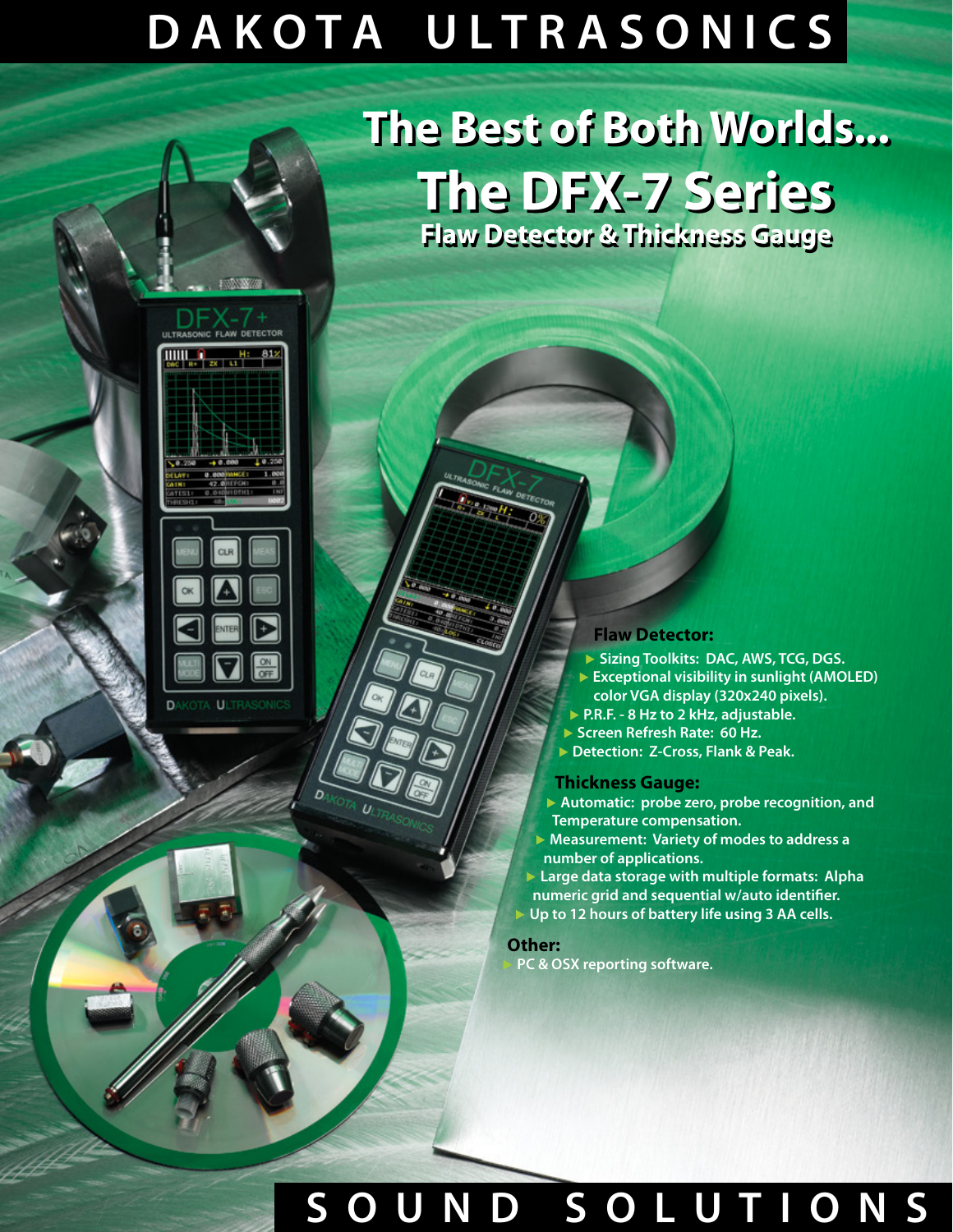# **D A K O T A U L T R A S O N I C S**

## **The Best of Both Worlds... The Best of Both Worlds... The DFX-7 Series The DFX-7 Series Flaw Detector & Thickness Gauge Flaw Detector & Thickness Gauge**

#### **Flaw Detector:**

- ▶ **Sizing Toolkits: DAC, AWS, TCG, DGS.**
- ▶ **Exceptional visibility in sunlight (AMOLED) color VGA display (320x240 pixels).**
- ▶ **P.R.F. 8 Hz to 2 kHz, adjustable.**
- ▶ **Screen Refresh Rate: 60 Hz.**
- ▶ **Detection: Z-Cross, Flank & Peak.**

#### **Thickness Gauge:**

- ▶ **Automatic: probe zero, probe recognition, and Temperature compensation.**
- ▶ **Measurement: Variety of modes to address a number of applications.**

▶ **Large data storage with multiple formats: Alpha numeric grid and sequential w/auto identifier.** ▶ **Up to 12 hours of battery life using 3 AA cells.**

### **Other:**

▶ **PC & OSX reporting software.**

## **S O U N D S O L U T I O N S**